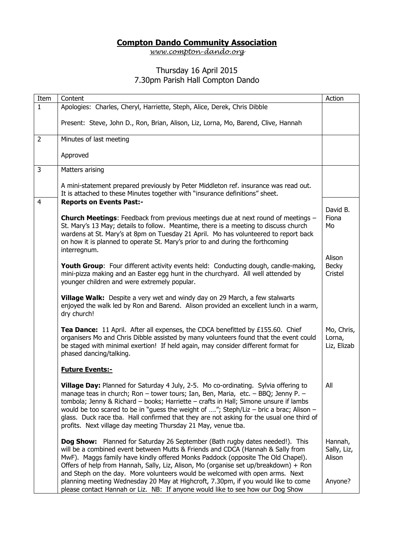## **Compton Dando Community Association**

*[www.compton-dando.org](http://www.compton-dando.org/)*

## Thursday 16 April 2015 7.30pm Parish Hall Compton Dando

| Item           | Content                                                                                                                                                                                                                                                                                                                                                                                                                                                                                                                                                                                          | Action                                      |
|----------------|--------------------------------------------------------------------------------------------------------------------------------------------------------------------------------------------------------------------------------------------------------------------------------------------------------------------------------------------------------------------------------------------------------------------------------------------------------------------------------------------------------------------------------------------------------------------------------------------------|---------------------------------------------|
| $\mathbf{1}$   | Apologies: Charles, Cheryl, Harriette, Steph, Alice, Derek, Chris Dibble                                                                                                                                                                                                                                                                                                                                                                                                                                                                                                                         |                                             |
|                | Present: Steve, John D., Ron, Brian, Alison, Liz, Lorna, Mo, Barend, Clive, Hannah                                                                                                                                                                                                                                                                                                                                                                                                                                                                                                               |                                             |
| $\overline{2}$ | Minutes of last meeting                                                                                                                                                                                                                                                                                                                                                                                                                                                                                                                                                                          |                                             |
|                | Approved                                                                                                                                                                                                                                                                                                                                                                                                                                                                                                                                                                                         |                                             |
| 3              | Matters arising                                                                                                                                                                                                                                                                                                                                                                                                                                                                                                                                                                                  |                                             |
|                | A mini-statement prepared previously by Peter Middleton ref. insurance was read out.<br>It is attached to these Minutes together with "insurance definitions" sheet.                                                                                                                                                                                                                                                                                                                                                                                                                             |                                             |
| $\overline{4}$ | <b>Reports on Events Past:-</b>                                                                                                                                                                                                                                                                                                                                                                                                                                                                                                                                                                  | David B.                                    |
|                | <b>Church Meetings:</b> Feedback from previous meetings due at next round of meetings -<br>St. Mary's 13 May; details to follow. Meantime, there is a meeting to discuss church<br>wardens at St. Mary's at 8pm on Tuesday 21 April. Mo has volunteered to report back<br>on how it is planned to operate St. Mary's prior to and during the forthcoming<br>interregnum.                                                                                                                                                                                                                         | Fiona<br>Mo                                 |
|                |                                                                                                                                                                                                                                                                                                                                                                                                                                                                                                                                                                                                  | Alison                                      |
|                | Youth Group: Four different activity events held: Conducting dough, candle-making,<br>mini-pizza making and an Easter egg hunt in the churchyard. All well attended by<br>younger children and were extremely popular.                                                                                                                                                                                                                                                                                                                                                                           | <b>Becky</b><br>Cristel                     |
|                | Village Walk: Despite a very wet and windy day on 29 March, a few stalwarts<br>enjoyed the walk led by Ron and Barend. Alison provided an excellent lunch in a warm,<br>dry church!                                                                                                                                                                                                                                                                                                                                                                                                              |                                             |
|                | Tea Dance: 11 April. After all expenses, the CDCA benefitted by £155.60. Chief<br>organisers Mo and Chris Dibble assisted by many volunteers found that the event could<br>be staged with minimal exertion! If held again, may consider different format for<br>phased dancing/talking.                                                                                                                                                                                                                                                                                                          | Mo, Chris,<br>Lorna,<br>Liz, Elizab         |
|                | <b>Future Events:-</b>                                                                                                                                                                                                                                                                                                                                                                                                                                                                                                                                                                           |                                             |
|                | Village Day: Planned for Saturday 4 July, 2-5. Mo co-ordinating. Sylvia offering to<br>manage teas in church; Ron - tower tours; Ian, Ben, Maria, etc. - BBQ; Jenny P. -<br>tombola; Jenny & Richard - books; Harriette - crafts in Hall; Simone unsure if lambs<br>would be too scared to be in "guess the weight of "; Steph/Liz - bric a brac; Alison -<br>glass. Duck race tba. Hall confirmed that they are not asking for the usual one third of<br>profits. Next village day meeting Thursday 21 May, venue tba.                                                                          | All                                         |
|                | Dog Show: Planned for Saturday 26 September (Bath rugby dates needed!). This<br>will be a combined event between Mutts & Friends and CDCA (Hannah & Sally from<br>MwF). Maggs family have kindly offered Monks Paddock (opposite The Old Chapel).<br>Offers of help from Hannah, Sally, Liz, Alison, Mo (organise set up/breakdown) + Ron<br>and Steph on the day. More volunteers would be welcomed with open arms. Next<br>planning meeting Wednesday 20 May at Highcroft, 7.30pm, if you would like to come<br>please contact Hannah or Liz. NB: If anyone would like to see how our Dog Show | Hannah,<br>Sally, Liz,<br>Alison<br>Anyone? |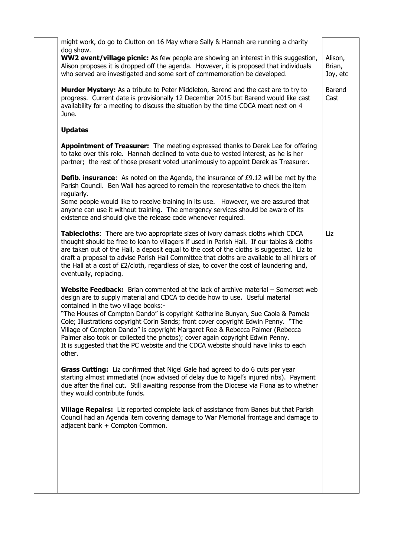| might work, do go to Clutton on 16 May where Sally & Hannah are running a charity<br>dog show.<br><b>WW2 event/village picnic:</b> As few people are showing an interest in this suggestion,<br>Alison,<br>Alison proposes it is dropped off the agenda. However, it is proposed that individuals<br>Brian,<br>who served are investigated and some sort of commemoration be developed.<br>Joy, etc<br>Murder Mystery: As a tribute to Peter Middleton, Barend and the cast are to try to<br>Barend<br>progress. Current date is provisionally 12 December 2015 but Barend would like cast<br>Cast<br>availability for a meeting to discuss the situation by the time CDCA meet next on 4<br>June.<br><b>Updates</b><br>Appointment of Treasurer: The meeting expressed thanks to Derek Lee for offering<br>to take over this role. Hannah declined to vote due to vested interest, as he is her<br>partner; the rest of those present voted unanimously to appoint Derek as Treasurer.<br><b>Defib. insurance:</b> As noted on the Agenda, the insurance of £9.12 will be met by the<br>Parish Council. Ben Wall has agreed to remain the representative to check the item<br>regularly.<br>Some people would like to receive training in its use. However, we are assured that<br>anyone can use it without training. The emergency services should be aware of its<br>existence and should give the release code whenever required.<br>Tablecloths: There are two appropriate sizes of ivory damask cloths which CDCA<br>Liz<br>thought should be free to loan to villagers if used in Parish Hall. If our tables & cloths<br>are taken out of the Hall, a deposit equal to the cost of the cloths is suggested. Liz to<br>draft a proposal to advise Parish Hall Committee that cloths are available to all hirers of<br>the Hall at a cost of £2/cloth, regardless of size, to cover the cost of laundering and,<br>eventually, replacing.<br>Website Feedback: Brian commented at the lack of archive material - Somerset web<br>design are to supply material and CDCA to decide how to use. Useful material<br>contained in the two village books:- |
|-------------------------------------------------------------------------------------------------------------------------------------------------------------------------------------------------------------------------------------------------------------------------------------------------------------------------------------------------------------------------------------------------------------------------------------------------------------------------------------------------------------------------------------------------------------------------------------------------------------------------------------------------------------------------------------------------------------------------------------------------------------------------------------------------------------------------------------------------------------------------------------------------------------------------------------------------------------------------------------------------------------------------------------------------------------------------------------------------------------------------------------------------------------------------------------------------------------------------------------------------------------------------------------------------------------------------------------------------------------------------------------------------------------------------------------------------------------------------------------------------------------------------------------------------------------------------------------------------------------------------------------------------------------------------------------------------------------------------------------------------------------------------------------------------------------------------------------------------------------------------------------------------------------------------------------------------------------------------------------------------------------------------------------------------------------------------------------------------------------------------------------------------------------|
|                                                                                                                                                                                                                                                                                                                                                                                                                                                                                                                                                                                                                                                                                                                                                                                                                                                                                                                                                                                                                                                                                                                                                                                                                                                                                                                                                                                                                                                                                                                                                                                                                                                                                                                                                                                                                                                                                                                                                                                                                                                                                                                                                             |
|                                                                                                                                                                                                                                                                                                                                                                                                                                                                                                                                                                                                                                                                                                                                                                                                                                                                                                                                                                                                                                                                                                                                                                                                                                                                                                                                                                                                                                                                                                                                                                                                                                                                                                                                                                                                                                                                                                                                                                                                                                                                                                                                                             |
|                                                                                                                                                                                                                                                                                                                                                                                                                                                                                                                                                                                                                                                                                                                                                                                                                                                                                                                                                                                                                                                                                                                                                                                                                                                                                                                                                                                                                                                                                                                                                                                                                                                                                                                                                                                                                                                                                                                                                                                                                                                                                                                                                             |
|                                                                                                                                                                                                                                                                                                                                                                                                                                                                                                                                                                                                                                                                                                                                                                                                                                                                                                                                                                                                                                                                                                                                                                                                                                                                                                                                                                                                                                                                                                                                                                                                                                                                                                                                                                                                                                                                                                                                                                                                                                                                                                                                                             |
|                                                                                                                                                                                                                                                                                                                                                                                                                                                                                                                                                                                                                                                                                                                                                                                                                                                                                                                                                                                                                                                                                                                                                                                                                                                                                                                                                                                                                                                                                                                                                                                                                                                                                                                                                                                                                                                                                                                                                                                                                                                                                                                                                             |
|                                                                                                                                                                                                                                                                                                                                                                                                                                                                                                                                                                                                                                                                                                                                                                                                                                                                                                                                                                                                                                                                                                                                                                                                                                                                                                                                                                                                                                                                                                                                                                                                                                                                                                                                                                                                                                                                                                                                                                                                                                                                                                                                                             |
|                                                                                                                                                                                                                                                                                                                                                                                                                                                                                                                                                                                                                                                                                                                                                                                                                                                                                                                                                                                                                                                                                                                                                                                                                                                                                                                                                                                                                                                                                                                                                                                                                                                                                                                                                                                                                                                                                                                                                                                                                                                                                                                                                             |
|                                                                                                                                                                                                                                                                                                                                                                                                                                                                                                                                                                                                                                                                                                                                                                                                                                                                                                                                                                                                                                                                                                                                                                                                                                                                                                                                                                                                                                                                                                                                                                                                                                                                                                                                                                                                                                                                                                                                                                                                                                                                                                                                                             |
| "The Houses of Compton Dando" is copyright Katherine Bunyan, Sue Caola & Pamela<br>Cole; Illustrations copyright Corin Sands; front cover copyright Edwin Penny. "The<br>Village of Compton Dando" is copyright Margaret Roe & Rebecca Palmer (Rebecca<br>Palmer also took or collected the photos); cover again copyright Edwin Penny.<br>It is suggested that the PC website and the CDCA website should have links to each<br>other.                                                                                                                                                                                                                                                                                                                                                                                                                                                                                                                                                                                                                                                                                                                                                                                                                                                                                                                                                                                                                                                                                                                                                                                                                                                                                                                                                                                                                                                                                                                                                                                                                                                                                                                     |
| Grass Cutting: Liz confirmed that Nigel Gale had agreed to do 6 cuts per year<br>starting almost immediatel (now advised of delay due to Nigel's injured ribs). Payment<br>due after the final cut. Still awaiting response from the Diocese via Fiona as to whether<br>they would contribute funds.                                                                                                                                                                                                                                                                                                                                                                                                                                                                                                                                                                                                                                                                                                                                                                                                                                                                                                                                                                                                                                                                                                                                                                                                                                                                                                                                                                                                                                                                                                                                                                                                                                                                                                                                                                                                                                                        |
| Village Repairs: Liz reported complete lack of assistance from Banes but that Parish<br>Council had an Agenda item covering damage to War Memorial frontage and damage to<br>adjacent bank + Compton Common.                                                                                                                                                                                                                                                                                                                                                                                                                                                                                                                                                                                                                                                                                                                                                                                                                                                                                                                                                                                                                                                                                                                                                                                                                                                                                                                                                                                                                                                                                                                                                                                                                                                                                                                                                                                                                                                                                                                                                |